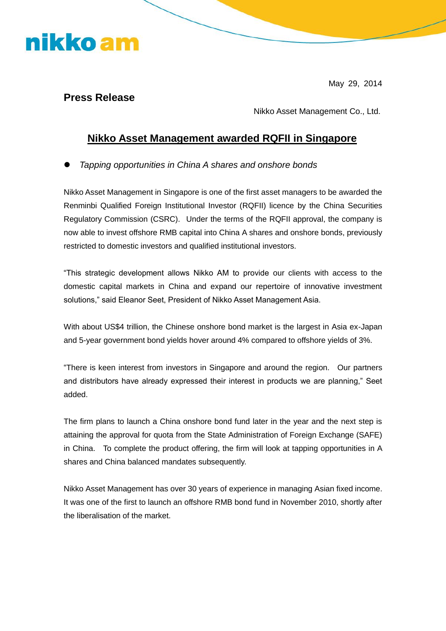## nikko am

May 29, 2014

## **Press Release**

Nikko Asset Management Co., Ltd.

## **Nikko Asset Management awarded RQFII in Singapore**

*Tapping opportunities in China A shares and onshore bonds*

Nikko Asset Management in Singapore is one of the first asset managers to be awarded the Renminbi Qualified Foreign Institutional Investor (RQFII) licence by the China Securities Regulatory Commission (CSRC). Under the terms of the RQFII approval, the company is now able to invest offshore RMB capital into China A shares and onshore bonds, previously restricted to domestic investors and qualified institutional investors.

"This strategic development allows Nikko AM to provide our clients with access to the domestic capital markets in China and expand our repertoire of innovative investment solutions," said Eleanor Seet, President of Nikko Asset Management Asia.

With about US\$4 trillion, the Chinese onshore bond market is the largest in Asia ex-Japan and 5-year government bond yields hover around 4% compared to offshore yields of 3%.

"There is keen interest from investors in Singapore and around the region. Our partners and distributors have already expressed their interest in products we are planning," Seet added.

The firm plans to launch a China onshore bond fund later in the year and the next step is attaining the approval for quota from the State Administration of Foreign Exchange (SAFE) in China. To complete the product offering, the firm will look at tapping opportunities in A shares and China balanced mandates subsequently.

Nikko Asset Management has over 30 years of experience in managing Asian fixed income. It was one of the first to launch an offshore RMB bond fund in November 2010, shortly after the liberalisation of the market.